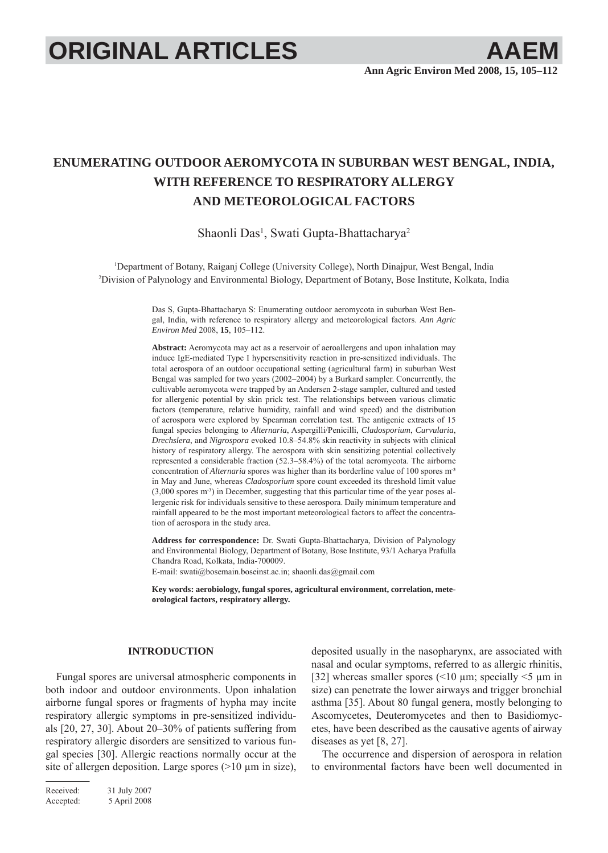# **ORIGINAL ARTICLES AAEM**

# **ENUMERATING OUTDOOR AEROMYCOTA IN SUBURBAN WEST BENGAL, INDIA, WITH REFERENCE TO RESPIRATORY ALLERGY AND METEOROLOGICAL FACTORS**

Shaonli Das<sup>1</sup>, Swati Gupta-Bhattacharya<sup>2</sup>

1 Department of Botany, Raiganj College (University College), North Dinajpur, West Bengal, India 2 Division of Palynology and Environmental Biology, Department of Botany, Bose Institute, Kolkata, India

> Das S, Gupta-Bhattacharya S: Enumerating outdoor aeromycota in suburban West Bengal, India, with reference to respiratory allergy and meteorological factors. *Ann Agric Environ Med* 2008, **15**, 105–112.

> **Abstract:** Aeromycota may act as a reservoir of aeroallergens and upon inhalation may induce IgE-mediated Type I hypersensitivity reaction in pre-sensitized individuals. The total aerospora of an outdoor occupational setting (agricultural farm) in suburban West Bengal was sampled for two years (2002–2004) by a Burkard sampler. Concurrently, the cultivable aeromycota were trapped by an Andersen 2-stage sampler, cultured and tested for allergenic potential by skin prick test. The relationships between various climatic factors (temperature, relative humidity, rainfall and wind speed) and the distribution of aerospora were explored by Spearman correlation test. The antigenic extracts of 15 fungal species belonging to *Alternaria*, Aspergilli/Penicilli, *Cladosporium*, *Curvularia*, *Drechslera*, and *Nigrospora* evoked 10.8–54.8% skin reactivity in subjects with clinical history of respiratory allergy. The aerospora with skin sensitizing potential collectively represented a considerable fraction (52.3–58.4%) of the total aeromycota. The airborne concentration of *Alternaria* spores was higher than its borderline value of 100 spores m<sup>3</sup> in May and June, whereas *Cladosporium* spore count exceeded its threshold limit value (3,000 spores m- ³) in December, suggesting that this particular time of the year poses allergenic risk for individuals sensitive to these aerospora. Daily minimum temperature and rainfall appeared to be the most important meteorological factors to affect the concentration of aerospora in the study area.

> **Address for correspondence:** Dr. Swati Gupta-Bhattacharya, Division of Palynology and Environmental Biology, Department of Botany, Bose Institute, 93/1 Acharya Prafulla Chandra Road, Kolkata, India-700009.

E-mail: swati@bosemain.boseinst.ac.in; shaonli.das@gmail.com

**Key words: aerobiology, fungal spores, agricultural environment, correlation, meteorological factors, respiratory allergy.**

# **INTRODUCTION**

Fungal spores are universal atmospheric components in both indoor and outdoor environments. Upon inhalation airborne fungal spores or fragments of hypha may incite respiratory allergic symptoms in pre-sensitized individuals [20, 27, 30]. About 20–30% of patients suffering from respiratory allergic disorders are sensitized to various fungal species [30]. Allergic reactions normally occur at the site of allergen deposition. Large spores  $(>10 \mu m)$  in size),

Received: 31 July 2007 Accepted: 5 April 2008

deposited usually in the nasopharynx, are associated with nasal and ocular symptoms, referred to as allergic rhinitis, [32] whereas smaller spores ( $\leq 10 \mu$ m; specially  $\leq 5 \mu$ m in size) can penetrate the lower airways and trigger bronchial asthma [35]. About 80 fungal genera, mostly belonging to Ascomycetes, Deuteromycetes and then to Basidiomycetes, have been described as the causative agents of airway diseases as yet [8, 27].

The occurrence and dispersion of aerospora in relation to environmental factors have been well documented in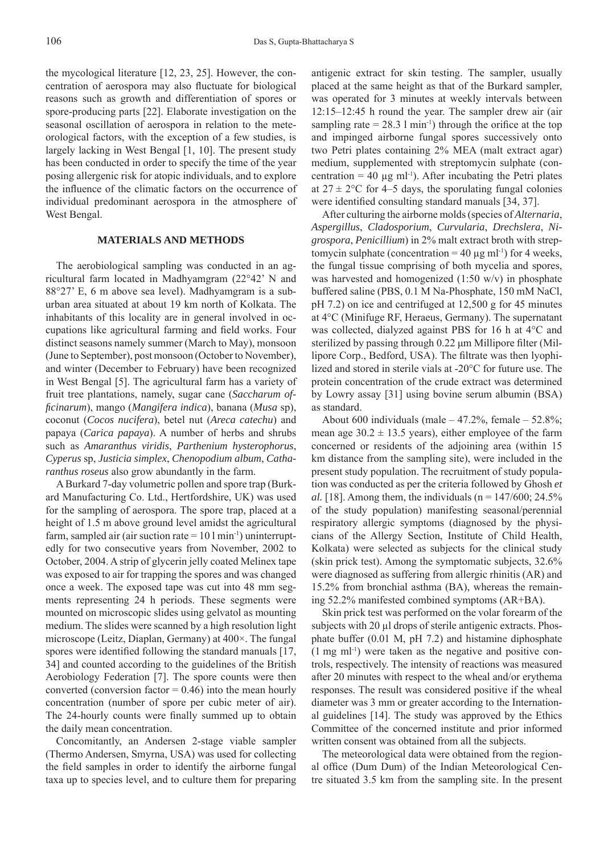the mycological literature [12, 23, 25]. However, the concentration of aerospora may also fluctuate for biological reasons such as growth and differentiation of spores or spore-producing parts [22]. Elaborate investigation on the seasonal oscillation of aerospora in relation to the meteorological factors, with the exception of a few studies, is largely lacking in West Bengal [1, 10]. The present study has been conducted in order to specify the time of the year posing allergenic risk for atopic individuals, and to explore the influence of the climatic factors on the occurrence of individual predominant aerospora in the atmosphere of West Bengal.

# **MATERIALS AND METHODS**

The aerobiological sampling was conducted in an agricultural farm located in Madhyamgram (22°42' N and 88°27' E, 6 m above sea level). Madhyamgram is a suburban area situated at about 19 km north of Kolkata. The inhabitants of this locality are in general involved in occupations like agricultural farming and field works. Four distinct seasons namely summer (March to May), monsoon (June to September), post monsoon (October to November), and winter (December to February) have been recognized in West Bengal [5]. The agricultural farm has a variety of fruit tree plantations, namely, sugar cane (*Saccharum offi cinarum*), mango (*Mangifera indica*), banana (*Musa* sp), coconut (*Cocos nucifera*), betel nut (*Areca catechu*) and papaya (*Carica papaya*). A number of herbs and shrubs such as *Amaranthus viridis*, *Parthenium hysterophorus*, *Cyperus* sp, *Justicia simplex*, *Chenopodium album*, *Catharanthus roseus* also grow abundantly in the farm.

A Burkard 7-day volumetric pollen and spore trap (Burkard Manufacturing Co. Ltd., Hertfordshire, UK) was used for the sampling of aerospora. The spore trap, placed at a height of 1.5 m above ground level amidst the agricultural farm, sampled air (air suction rate  $= 10 \text{ l min}^{-1}$ ) uninterruptedly for two consecutive years from November, 2002 to October, 2004. A strip of glycerin jelly coated Melinex tape was exposed to air for trapping the spores and was changed once a week. The exposed tape was cut into 48 mm segments representing 24 h periods. These segments were mounted on microscopic slides using gelvatol as mounting medium. The slides were scanned by a high resolution light microscope (Leitz, Diaplan, Germany) at 400×. The fungal spores were identified following the standard manuals  $[17, 17]$ 34] and counted according to the guidelines of the British Aerobiology Federation [7]. The spore counts were then converted (conversion factor  $= 0.46$ ) into the mean hourly concentration (number of spore per cubic meter of air). The 24-hourly counts were finally summed up to obtain the daily mean concentration.

Concomitantly, an Andersen 2-stage viable sampler (Thermo Andersen, Smyrna, USA) was used for collecting the field samples in order to identify the airborne fungal taxa up to species level, and to culture them for preparing antigenic extract for skin testing. The sampler, usually placed at the same height as that of the Burkard sampler, was operated for 3 minutes at weekly intervals between 12:15–12:45 h round the year. The sampler drew air (air sampling rate =  $28.3 \text{ l min}^{-1}$ ) through the orifice at the top and impinged airborne fungal spores successively onto two Petri plates containing 2% MEA (malt extract agar) medium, supplemented with streptomycin sulphate (concentration = 40  $\mu$ g ml<sup>-1</sup>). After incubating the Petri plates at  $27 \pm 2$ °C for 4–5 days, the sporulating fungal colonies were identified consulting standard manuals [34, 37].

After culturing the airborne molds (species of *Alternaria*, *Aspergillus*, *Cladosporium*, *Curvularia*, *Drechslera*, *Nigrospora*, *Penicillium*) in 2% malt extract broth with streptomycin sulphate (concentration = 40 μg ml<sup>-1</sup>) for 4 weeks, the fungal tissue comprising of both mycelia and spores, was harvested and homogenized  $(1:50 \text{ w/v})$  in phosphate buffered saline (PBS, 0.1 M Na-Phosphate, 150 mM NaCl, pH 7.2) on ice and centrifuged at 12,500 g for 45 minutes at 4°C (Minifuge RF, Heraeus, Germany). The supernatant was collected, dialyzed against PBS for 16 h at 4°C and sterilized by passing through 0.22 μm Millipore filter (Millipore Corp., Bedford, USA). The filtrate was then lyophilized and stored in sterile vials at -20°C for future use. The protein concentration of the crude extract was determined by Lowry assay [31] using bovine serum albumin (BSA) as standard.

About 600 individuals (male  $-47.2\%$ , female  $-52.8\%$ ; mean age  $30.2 \pm 13.5$  years), either employee of the farm concerned or residents of the adjoining area (within 15 km distance from the sampling site), were included in the present study population. The recruitment of study population was conducted as per the criteria followed by Ghosh *et al.* [18]. Among them, the individuals  $(n = 147/600; 24.5\%)$ of the study population) manifesting seasonal/perennial respiratory allergic symptoms (diagnosed by the physicians of the Allergy Section, Institute of Child Health, Kolkata) were selected as subjects for the clinical study (skin prick test). Among the symptomatic subjects, 32.6% were diagnosed as suffering from allergic rhinitis (AR) and 15.2% from bronchial asthma (BA), whereas the remaining 52.2% manifested combined symptoms (AR+BA).

Skin prick test was performed on the volar forearm of the subjects with 20 μl drops of sterile antigenic extracts. Phosphate buffer (0.01 M, pH 7.2) and histamine diphosphate (1 mg ml-1) were taken as the negative and positive controls, respectively. The intensity of reactions was measured after 20 minutes with respect to the wheal and/or erythema responses. The result was considered positive if the wheal diameter was 3 mm or greater according to the International guidelines [14]. The study was approved by the Ethics Committee of the concerned institute and prior informed written consent was obtained from all the subjects.

The meteorological data were obtained from the regional office (Dum Dum) of the Indian Meteorological Centre situated 3.5 km from the sampling site. In the present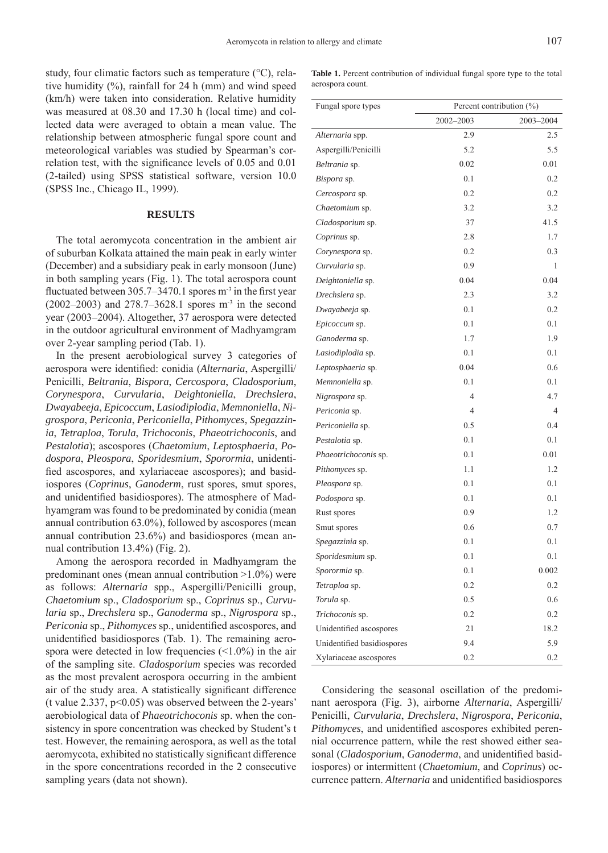study, four climatic factors such as temperature (°C), relative humidity  $(\%)$ , rainfall for 24 h (mm) and wind speed (km/h) were taken into consideration. Relative humidity was measured at 08.30 and 17.30 h (local time) and collected data were averaged to obtain a mean value. The relationship between atmospheric fungal spore count and meteorological variables was studied by Spearman's correlation test, with the significance levels of  $0.05$  and  $0.01$ (2-tailed) using SPSS statistical software, version 10.0 (SPSS Inc., Chicago IL, 1999).

# **RESULTS**

The total aeromycota concentration in the ambient air of suburban Kolkata attained the main peak in early winter (December) and a subsidiary peak in early monsoon (June) in both sampling years (Fig. 1). The total aerospora count fluctuated between  $305.7-3470.1$  spores m<sup>-3</sup> in the first year (2002–2003) and 278.7–3628.1 spores m-3 in the second year (2003–2004). Altogether, 37 aerospora were detected in the outdoor agricultural environment of Madhyamgram over 2-year sampling period (Tab. 1).

In the present aerobiological survey 3 categories of aerospora were identified: conidia *(Alternaria*, Aspergilli/ Penicilli, *Beltrania*, *Bispora*, *Cercospora*, *Cladosporium*, *Corynespora*, *Curvularia*, *Deightoniella*, *Drechslera*, *Dwayabeeja*, *Epicoccum*, *Lasiodiplodia*, *Memnoniella*, *Nigrospora*, *Periconia*, *Periconiella*, *Pithomyces*, *Spegazzinia*, *Tetraploa*, *Torula*, *Trichoconis*, *Phaeotrichoconis*, and *Pestalotia*); ascospores (*Chaetomium*, *Leptosphaeria*, *Podospora*, *Pleospora*, *Sporidesmium*, *Sporormia*, unidentified ascospores, and xylariaceae ascospores); and basidiospores (*Coprinus*, *Ganoderm*, rust spores, smut spores, and unidentified basidiospores). The atmosphere of Madhyamgram was found to be predominated by conidia (mean annual contribution 63.0%), followed by ascospores (mean annual contribution 23.6%) and basidiospores (mean annual contribution 13.4%) (Fig. 2).

Among the aerospora recorded in Madhyamgram the predominant ones (mean annual contribution >1.0%) were as follows: *Alternaria* spp., Aspergilli/Penicilli group, *Chaetomium* sp., *Cladosporium* sp., *Coprinus* sp., *Curvularia* sp., *Drechslera* sp., *Ganoderma* sp., *Nigrospora* sp., *Periconia* sp., *Pithomyces* sp., unidentified ascospores, and unidentified basidiospores (Tab. 1). The remaining aerospora were detected in low frequencies  $(\leq 1.0\%)$  in the air of the sampling site. *Cladosporium* species was recorded as the most prevalent aerospora occurring in the ambient air of the study area. A statistically significant difference (t value 2.337, p<0.05) was observed between the 2-years' aerobiological data of *Phaeotrichoconis* sp. when the consistency in spore concentration was checked by Student's t test. However, the remaining aerospora, as well as the total aeromycota, exhibited no statistically significant difference in the spore concentrations recorded in the 2 consecutive sampling years (data not shown).

Table 1. Percent contribution of individual fungal spore type to the total aerospora count.

| Fungal spore types          | Percent contribution (%) |                |  |
|-----------------------------|--------------------------|----------------|--|
|                             | 2002-2003                | 2003-2004      |  |
| Alternaria spp.             | 2.9                      | 2.5            |  |
| Aspergilli/Penicilli        | 5.2                      | 5.5            |  |
| Beltrania sp.               | 0.02                     | 0.01           |  |
| <i>Bispora</i> sp.          | 0.1                      | 0.2            |  |
| Cercospora sp.              | 0.2                      | 0.2            |  |
| <i>Chaetomium</i> sp.       | 3.2                      | 3.2            |  |
| Cladosporium sp.            | 37                       | 41.5           |  |
| Coprinus sp.                | 2.8                      | 1.7            |  |
| Corynespora sp.             | 0.2                      | 0.3            |  |
| Curvularia sp.              | 0.9                      | 1              |  |
| Deightoniella sp.           | 0.04                     | 0.04           |  |
| Drechslera sp.              | 2.3                      | 3.2            |  |
| Dwayabeeja sp.              | 0.1                      | 0.2            |  |
| Epicoccum sp.               | 0.1                      | 0.1            |  |
| Ganoderma sp.               | 1.7                      | 1.9            |  |
| Lasiodiplodia sp.           | 0.1                      | 0.1            |  |
| Leptosphaeria sp.           | 0.04                     | 0.6            |  |
| Memnoniella sp.             | 0.1                      | 0.1            |  |
| <i>Nigrospora</i> sp.       | 4                        | 4.7            |  |
| Periconia sp.               | $\overline{4}$           | $\overline{4}$ |  |
| Periconiella sp.            | 0.5                      | 0.4            |  |
| Pestalotia sp.              | 0.1                      | 0.1            |  |
| <i>Phaeotrichoconis</i> sp. | 0.1                      | 0.01           |  |
| <i>Pithomyces</i> sp.       | 1.1                      | 1.2            |  |
| <i>Pleospora</i> sp.        | 0.1                      | 0.1            |  |
| <i>Podospora</i> sp.        | 0.1                      | 0.1            |  |
| Rust spores                 | 0.9                      | 1.2            |  |
| Smut spores                 | 0.6                      | 0.7            |  |
| Spegazzinia sp.             | 0.1                      | 0.1            |  |
| Sporidesmium sp.            | 0.1                      | 0.1            |  |
| Sporormia sp.               | 0.1                      | 0.002          |  |
| Tetraploa sp.               | 0.2                      | 0.2            |  |
| Torula sp.                  | 0.5                      | 0.6            |  |
| Trichoconis sp.             | 0.2                      | 0.2            |  |
| Unidentified ascospores     | 21                       | 18.2           |  |
| Unidentified basidiospores  | 9.4                      | 5.9            |  |
| Xylariaceae ascospores      | 0.2                      | $0.2\,$        |  |

Considering the seasonal oscillation of the predominant aerospora (Fig. 3), airborne *Alternaria*, Aspergilli/ Penicilli, *Curvularia*, *Drechslera*, *Nigrospora*, *Periconia*, *Pithomyces*, and unidentified ascospores exhibited perennial occurrence pattern, while the rest showed either seasonal (Cladosporium, Ganoderma, and unidentified basidiospores) or intermittent (*Chaetomium*, and *Coprinus*) occurrence pattern. *Alternaria* and unidentified basidiospores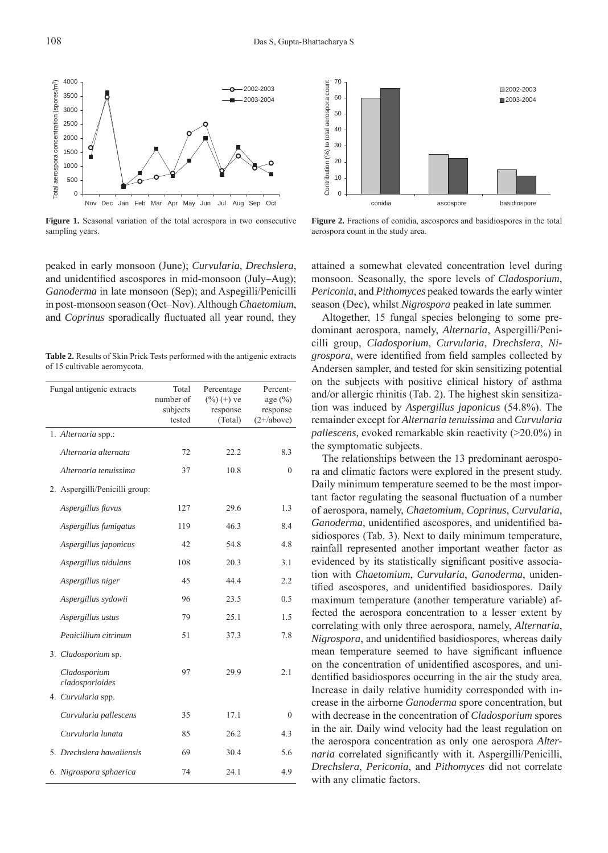

**Figure 1.** Seasonal variation of the total aerospora in two consecutive sampling years.

peaked in early monsoon (June); *Curvularia*, *Drechslera*, and unidentified ascospores in mid-monsoon (July–Aug); *Ganoderma* in late monsoon (Sep); and Aspegilli/Penicilli in post-monsoon season (Oct–Nov). Although *Chaetomium*, and *Coprinus* sporadically fluctuated all year round, they

**Table 2.** Results of Skin Prick Tests performed with the antigenic extracts of 15 cultivable aeromycota.

| Fungal antigenic extracts       | Total<br>number of<br>subjects<br>tested | Percentage<br>$(\%) (+)$ ve<br>response<br>(Total) | Percent-<br>age $(\% )$<br>response<br>$(2+\text{/above})$ |
|---------------------------------|------------------------------------------|----------------------------------------------------|------------------------------------------------------------|
| 1. Alternaria spp.:             |                                          |                                                    |                                                            |
| Alternaria alternata            | 72                                       | 22.2                                               | 8.3                                                        |
| Alternaria tenuissima           | 37                                       | 10.8                                               | $\theta$                                                   |
| 2. Aspergilli/Penicilli group:  |                                          |                                                    |                                                            |
| Aspergillus flavus              | 127                                      | 29.6                                               | 1.3                                                        |
| Aspergillus fumigatus           | 119                                      | 46.3                                               | 8.4                                                        |
| Aspergillus japonicus           | 42                                       | 54.8                                               | 4.8                                                        |
| Aspergillus nidulans            | 108                                      | 20.3                                               | 3.1                                                        |
| Aspergillus niger               | 45                                       | 44.4                                               | 2.2                                                        |
| Aspergillus sydowii             | 96                                       | 23.5                                               | 0.5                                                        |
| Aspergillus ustus               | 79                                       | 25.1                                               | 1.5                                                        |
| Penicillium citrinum            | 51                                       | 37.3                                               | 7.8                                                        |
| 3. Cladosporium sp.             |                                          |                                                    |                                                            |
| Cladosporium<br>cladosporioides | 97                                       | 29.9                                               | 2.1                                                        |
| 4. Curvularia spp.              |                                          |                                                    |                                                            |
| Curvularia pallescens           | 35                                       | 17.1                                               | $\mathbf{0}$                                               |
| Curvularia lunata               | 85                                       | 26.2                                               | 4.3                                                        |
| 5. Drechslera hawaiiensis       | 69                                       | 30.4                                               | 5.6                                                        |
| 6. Nigrospora sphaerica         | 74                                       | 24.1                                               | 4.9                                                        |



**Figure 2.** Fractions of conidia, ascospores and basidiospores in the total aerospora count in the study area.

attained a somewhat elevated concentration level during monsoon. Seasonally, the spore levels of *Cladosporium*, *Periconia*, and *Pithomyces* peaked towards the early winter season (Dec), whilst *Nigrospora* peaked in late summer.

Altogether, 15 fungal species belonging to some predominant aerospora, namely, *Alternaria*, Aspergilli/Penicilli group, *Cladosporium*, *Curvularia*, *Drechslera*, *Ni*grospora, were identified from field samples collected by Andersen sampler, and tested for skin sensitizing potential on the subjects with positive clinical history of asthma and/or allergic rhinitis (Tab. 2). The highest skin sensitization was induced by *Aspergillus japonicus* (54.8%). The remainder except for *Alternaria tenuissima* and *Curvularia pallescens,* evoked remarkable skin reactivity (>20.0%) in the symptomatic subjects.

The relationships between the 13 predominant aerospora and climatic factors were explored in the present study. Daily minimum temperature seemed to be the most important factor regulating the seasonal fluctuation of a number of aerospora, namely, *Chaetomium*, *Coprinus*, *Curvularia*, *Ganoderma*, unidentified ascospores, and unidentified basidiospores (Tab. 3). Next to daily minimum temperature, rainfall represented another important weather factor as evidenced by its statistically significant positive association with *Chaetomium*, *Curvularia*, *Ganoderma*, unidentified ascospores, and unidentified basidiospores. Daily maximum temperature (another temperature variable) affected the aerospora concentration to a lesser extent by correlating with only three aerospora, namely, *Alternaria*, *Nigrospora*, and unidentified basidiospores, whereas daily mean temperature seemed to have significant influence on the concentration of unidentified ascospores, and unidentified basidiospores occurring in the air the study area. Increase in daily relative humidity corresponded with increase in the airborne *Ganoderma* spore concentration, but with decrease in the concentration of *Cladosporium* spores in the air. Daily wind velocity had the least regulation on the aerospora concentration as only one aerospora *Alternaria* correlated significantly with it. Aspergilli/Penicilli, *Drechslera*, *Periconia*, and *Pithomyces* did not correlate with any climatic factors.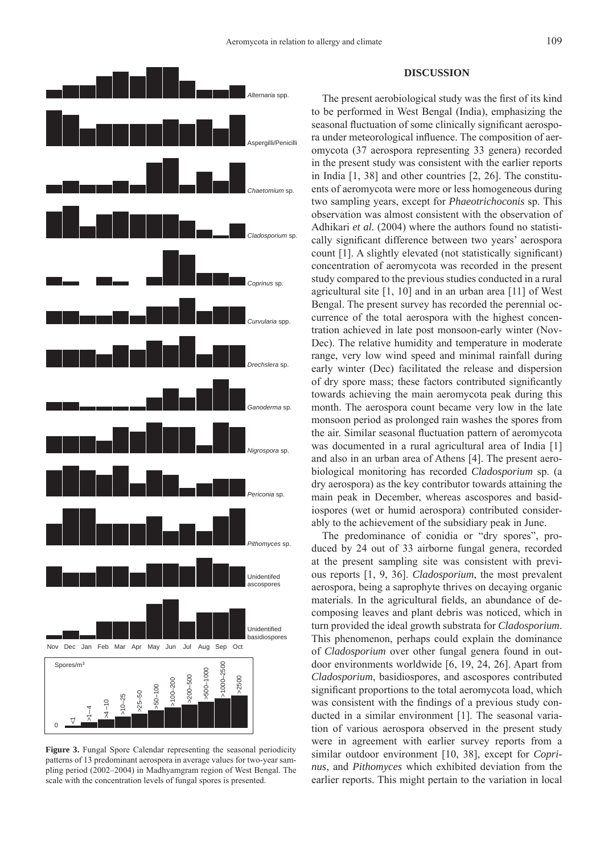

**Figure 3.** Fungal Spore Calendar representing the seasonal periodicity patterns of 13 predominant aerospora in average values for two-year sampling period (2002–2004) in Madhyamgram region of West Bengal. The scale with the concentration levels of fungal spores is presented.

# **DISCUSSION**

The present aerobiological study was the first of its kind to be performed in West Bengal (India), emphasizing the seasonal fluctuation of some clinically significant aerospora under meteorological influence. The composition of aeromycota (37 aerospora representing 33 genera) recorded in the present study was consistent with the earlier reports in India [1, 38] and other countries [2, 26]. The constituents of aeromycota were more or less homogeneous during two sampling years, except for *Phaeotrichoconis* sp. This observation was almost consistent with the observation of Adhikari *et al.* (2004) where the authors found no statistically significant difference between two years' aerospora count [1]. A slightly elevated (not statistically significant) concentration of aeromycota was recorded in the present study compared to the previous studies conducted in a rural agricultural site [1, 10] and in an urban area [11] of West Bengal. The present survey has recorded the perennial occurrence of the total aerospora with the highest concentration achieved in late post monsoon-early winter (Nov-Dec). The relative humidity and temperature in moderate range, very low wind speed and minimal rainfall during early winter (Dec) facilitated the release and dispersion of dry spore mass; these factors contributed significantly towards achieving the main aeromycota peak during this month. The aerospora count became very low in the late monsoon period as prolonged rain washes the spores from the air. Similar seasonal fluctuation pattern of aeromycota was documented in a rural agricultural area of India [1] and also in an urban area of Athens [4]. The present aerobiological monitoring has recorded *Cladosporium* sp. (a dry aerospora) as the key contributor towards attaining the main peak in December, whereas ascospores and basidiospores (wet or humid aerospora) contributed considerably to the achievement of the subsidiary peak in June.

The predominance of conidia or "dry spores", produced by 24 out of 33 airborne fungal genera, recorded at the present sampling site was consistent with previous reports [1, 9, 36]. *Cladosporium*, the most prevalent aerospora, being a saprophyte thrives on decaying organic materials. In the agricultural fields, an abundance of decomposing leaves and plant debris was noticed, which in turn provided the ideal growth substrata for *Cladosporium*. This phenomenon, perhaps could explain the dominance of *Cladosporium* over other fungal genera found in outdoor environments worldwide [6, 19, 24, 26]. Apart from *Cladosporium*, basidiospores, and ascospores contributed significant proportions to the total aeromycota load, which was consistent with the findings of a previous study conducted in a similar environment [1]. The seasonal variation of various aerospora observed in the present study were in agreement with earlier survey reports from a similar outdoor environment [10, 38], except for *Coprinus*, and *Pithomyces* which exhibited deviation from the earlier reports. This might pertain to the variation in local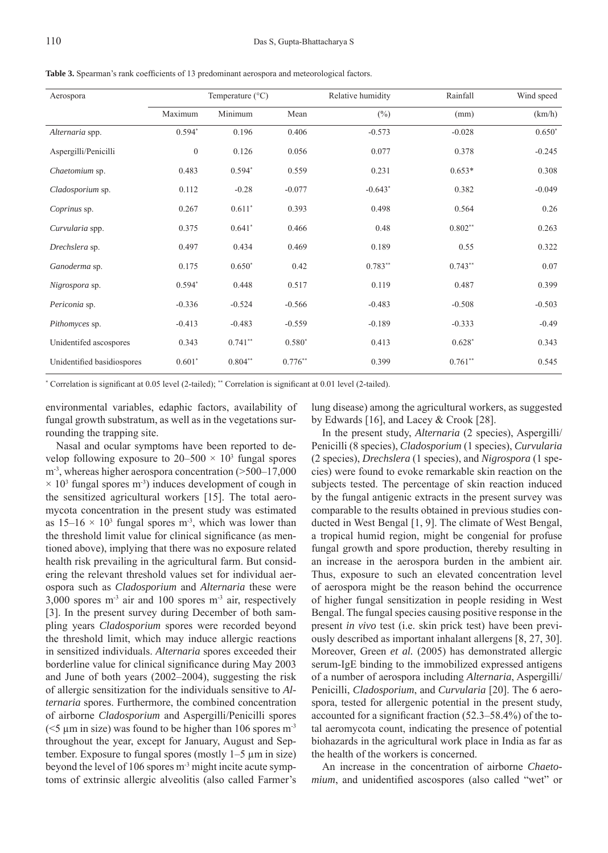Table 3. Spearman's rank coefficients of 13 predominant aerospora and meteorological factors.

| Aerospora                  | Temperature $(^{\circ}C)$ |           |           | Relative humidity | Rainfall  | Wind speed |
|----------------------------|---------------------------|-----------|-----------|-------------------|-----------|------------|
|                            | Maximum                   | Minimum   | Mean      | $(\%)$            | (mm)      | (km/h)     |
| Alternaria spp.            | $0.594*$                  | 0.196     | 0.406     | $-0.573$          | $-0.028$  | $0.650*$   |
| Aspergilli/Penicilli       | $\boldsymbol{0}$          | 0.126     | 0.056     | 0.077             | 0.378     | $-0.245$   |
| Chaetomium sp.             | 0.483                     | $0.594*$  | 0.559     | 0.231             | $0.653*$  | 0.308      |
| Cladosporium sp.           | 0.112                     | $-0.28$   | $-0.077$  | $-0.643*$         | 0.382     | $-0.049$   |
| Coprinus sp.               | 0.267                     | $0.611*$  | 0.393     | 0.498             | 0.564     | 0.26       |
| Curvularia spp.            | 0.375                     | $0.641*$  | 0.466     | 0.48              | $0.802**$ | 0.263      |
| Drechslera sp.             | 0.497                     | 0.434     | 0.469     | 0.189             | 0.55      | 0.322      |
| Ganoderma sp.              | 0.175                     | $0.650*$  | 0.42      | $0.783**$         | $0.743**$ | 0.07       |
| Nigrospora sp.             | $0.594*$                  | 0.448     | 0.517     | 0.119             | 0.487     | 0.399      |
| Periconia sp.              | $-0.336$                  | $-0.524$  | $-0.566$  | $-0.483$          | $-0.508$  | $-0.503$   |
| Pithomyces sp.             | $-0.413$                  | $-0.483$  | $-0.559$  | $-0.189$          | $-0.333$  | $-0.49$    |
| Unidentifed ascospores     | 0.343                     | $0.741**$ | $0.580*$  | 0.413             | $0.628*$  | 0.343      |
| Unidentified basidiospores | $0.601*$                  | $0.804**$ | $0.776**$ | 0.399             | $0.761**$ | 0.545      |

\* Correlation is significant at 0.05 level (2-tailed); \*\* Correlation is significant at 0.01 level (2-tailed).

environmental variables, edaphic factors, availability of fungal growth substratum, as well as in the vegetations surrounding the trapping site.

Nasal and ocular symptoms have been reported to develop following exposure to  $20-500 \times 10^3$  fungal spores  $m<sup>3</sup>$ , whereas higher aerospora concentration (>500–17,000  $\times$  10<sup>3</sup> fungal spores m<sup>-3</sup>) induces development of cough in the sensitized agricultural workers [15]. The total aeromycota concentration in the present study was estimated as  $15-16 \times 10^3$  fungal spores m<sup>-3</sup>, which was lower than the threshold limit value for clinical significance (as mentioned above), implying that there was no exposure related health risk prevailing in the agricultural farm. But considering the relevant threshold values set for individual aerospora such as *Cladosporium* and *Alternaria* these were  $3,000$  spores m<sup>-3</sup> air and 100 spores m<sup>-3</sup> air, respectively [3]. In the present survey during December of both sampling years *Cladosporium* spores were recorded beyond the threshold limit, which may induce allergic reactions in sensitized individuals. *Alternaria* spores exceeded their borderline value for clinical significance during May 2003 and June of both years (2002–2004), suggesting the risk of allergic sensitization for the individuals sensitive to *Alternaria* spores. Furthermore, the combined concentration of airborne *Cladosporium* and Aspergilli/Penicilli spores ( $\leq$ 5 µm in size) was found to be higher than 106 spores m<sup>-3</sup> throughout the year, except for January, August and September. Exposure to fungal spores (mostly 1–5 μm in size) beyond the level of 106 spores m-3 might incite acute symptoms of extrinsic allergic alveolitis (also called Farmer's

lung disease) among the agricultural workers, as suggested by Edwards [16], and Lacey & Crook [28].

In the present study, *Alternaria* (2 species), Aspergilli/ Penicilli (8 species), *Cladosporium* (1 species), *Curvularia* (2 species), *Drechslera* (1 species), and *Nigrospora* (1 species) were found to evoke remarkable skin reaction on the subjects tested. The percentage of skin reaction induced by the fungal antigenic extracts in the present survey was comparable to the results obtained in previous studies conducted in West Bengal [1, 9]. The climate of West Bengal, a tropical humid region, might be congenial for profuse fungal growth and spore production, thereby resulting in an increase in the aerospora burden in the ambient air. Thus, exposure to such an elevated concentration level of aerospora might be the reason behind the occurrence of higher fungal sensitization in people residing in West Bengal. The fungal species causing positive response in the present *in vivo* test (i.e. skin prick test) have been previously described as important inhalant allergens [8, 27, 30]. Moreover, Green *et al.* (2005) has demonstrated allergic serum-IgE binding to the immobilized expressed antigens of a number of aerospora including *Alternaria*, Aspergilli/ Penicilli, *Cladosporium*, and *Curvularia* [20]. The 6 aerospora, tested for allergenic potential in the present study, accounted for a significant fraction  $(52.3-58.4%)$  of the total aeromycota count, indicating the presence of potential biohazards in the agricultural work place in India as far as the health of the workers is concerned.

An increase in the concentration of airborne *Chaetomium*, and unidentified ascospores (also called "wet" or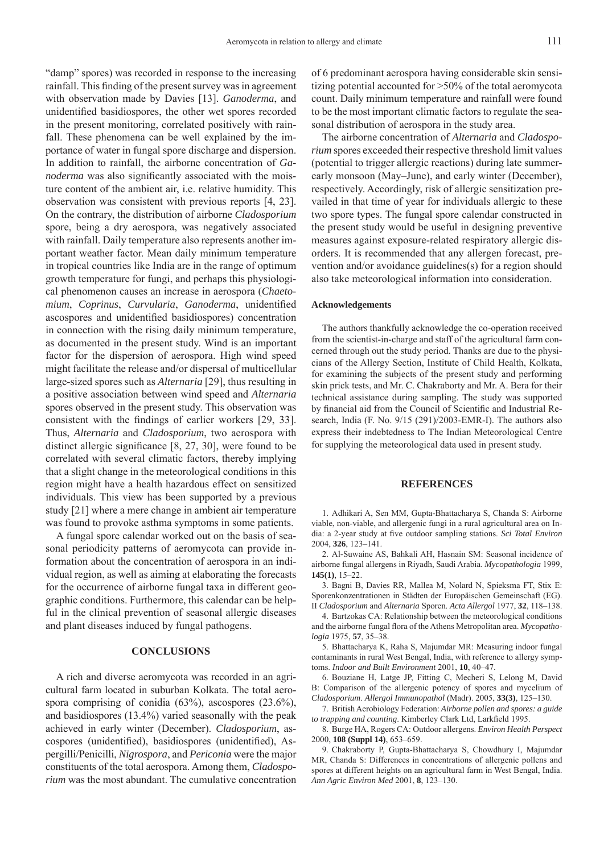"damp" spores) was recorded in response to the increasing rainfall. This finding of the present survey was in agreement with observation made by Davies [13]. *Ganoderma*, and unidentified basidiospores, the other wet spores recorded in the present monitoring, correlated positively with rainfall. These phenomena can be well explained by the importance of water in fungal spore discharge and dispersion. In addition to rainfall, the airborne concentration of *Ganoderma* was also significantly associated with the moisture content of the ambient air, i.e. relative humidity. This observation was consistent with previous reports [4, 23]. On the contrary, the distribution of airborne *Cladosporium* spore, being a dry aerospora, was negatively associated with rainfall. Daily temperature also represents another important weather factor. Mean daily minimum temperature in tropical countries like India are in the range of optimum growth temperature for fungi, and perhaps this physiological phenomenon causes an increase in aerospora (*Chaeto* $mium$ , *Coprinus*, *Curvularia*, *Ganoderma*, unidentified ascospores and unidentified basidiospores) concentration in connection with the rising daily minimum temperature, as documented in the present study. Wind is an important factor for the dispersion of aerospora. High wind speed might facilitate the release and/or dispersal of multicellular large-sized spores such as *Alternaria* [29], thus resulting in a positive association between wind speed and *Alternaria* spores observed in the present study. This observation was consistent with the findings of earlier workers [29, 33]. Thus, *Alternaria* and *Cladosporium*, two aerospora with distinct allergic significance  $[8, 27, 30]$ , were found to be correlated with several climatic factors, thereby implying that a slight change in the meteorological conditions in this region might have a health hazardous effect on sensitized individuals. This view has been supported by a previous study [21] where a mere change in ambient air temperature was found to provoke asthma symptoms in some patients.

A fungal spore calendar worked out on the basis of seasonal periodicity patterns of aeromycota can provide information about the concentration of aerospora in an individual region, as well as aiming at elaborating the forecasts for the occurrence of airborne fungal taxa in different geographic conditions. Furthermore, this calendar can be helpful in the clinical prevention of seasonal allergic diseases and plant diseases induced by fungal pathogens.

#### **CONCLUSIONS**

A rich and diverse aeromycota was recorded in an agricultural farm located in suburban Kolkata. The total aerospora comprising of conidia (63%), ascospores (23.6%), and basidiospores (13.4%) varied seasonally with the peak achieved in early winter (December). *Cladosporium*, ascospores (unidentified), basidiospores (unidentified), Aspergilli/Penicilli, *Nigrospora*, and *Periconia* were the major constituents of the total aerospora. Among them, *Cladosporium* was the most abundant. The cumulative concentration

of 6 predominant aerospora having considerable skin sensitizing potential accounted for >50% of the total aeromycota count. Daily minimum temperature and rainfall were found to be the most important climatic factors to regulate the seasonal distribution of aerospora in the study area.

The airborne concentration of *Alternaria* and *Cladosporium* spores exceeded their respective threshold limit values (potential to trigger allergic reactions) during late summerearly monsoon (May–June), and early winter (December), respectively. Accordingly, risk of allergic sensitization prevailed in that time of year for individuals allergic to these two spore types. The fungal spore calendar constructed in the present study would be useful in designing preventive measures against exposure-related respiratory allergic disorders. It is recommended that any allergen forecast, prevention and/or avoidance guidelines(s) for a region should also take meteorological information into consideration.

## **Acknowledgements**

The authors thankfully acknowledge the co-operation received from the scientist-in-charge and staff of the agricultural farm concerned through out the study period. Thanks are due to the physicians of the Allergy Section, Institute of Child Health, Kolkata, for examining the subjects of the present study and performing skin prick tests, and Mr. C. Chakraborty and Mr. A. Bera for their technical assistance during sampling. The study was supported by financial aid from the Council of Scientific and Industrial Research, India (F. No. 9/15 (291)/2003-EMR-I). The authors also express their indebtedness to The Indian Meteorological Centre for supplying the meteorological data used in present study.

## **REFERENCES**

1. Adhikari A, Sen MM, Gupta-Bhattacharya S, Chanda S: Airborne viable, non-viable, and allergenic fungi in a rural agricultural area on India: a 2-year study at five outdoor sampling stations. *Sci Total Environ* 2004, **326**, 123–141.

Al-Suwaine AS, Bahkali AH, Hasnain SM: Seasonal incidence of 2. airborne fungal allergens in Riyadh, Saudi Arabia. *Mycopathologia* 1999, **145(1)**, 15–22.

3. Bagni B, Davies RR, Mallea M, Nolard N, Spieksma FT, Stix E: Sporenkonzentrationen in Städten der Europäischen Gemeinschaft (EG). II *Cladosporium* and *Alternaria* Sporen. *Acta Allergol* 1977, **32**, 118–138.

4. Bartzokas CA: Relationship between the meteorological conditions and the airborne fungal flora of the Athens Metropolitan area. *Mycopathologia* 1975, **57**, 35–38.

5. Bhattacharya K, Raha S, Majumdar MR: Measuring indoor fungal contaminants in rural West Bengal, India, with reference to allergy symptoms. *Indoor and Built Environment* 2001, **10**, 40–47.

6. Bouziane H, Latge JP, Fitting C, Mecheri S, Lelong M, David B: Comparison of the allergenic potency of spores and mycelium of *Cladosporium*. *Allergol Immunopathol* (Madr). 2005, **33(3)**, 125–130.

British Aerobiology Federation: *Airborne pollen and spores: a guide*  7. to trapping and counting. Kimberley Clark Ltd, Larkfield 1995.

Burge HA, Rogers CA: Outdoor allergens. *Environ Health Perspect* 8. 2000, **108 (Suppl 14)**, 653–659.

Chakraborty P, Gupta-Bhattacharya S, Chowdhury I, Majumdar 9.MR, Chanda S: Differences in concentrations of allergenic pollens and spores at different heights on an agricultural farm in West Bengal, India. *Ann Agric Environ Med* 2001, **8**, 123–130.